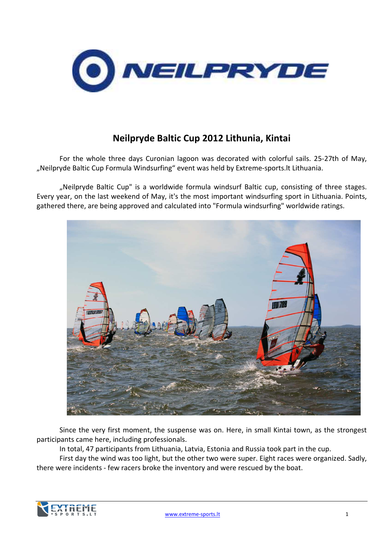

## Neilpryde Baltic Cup 2012 Lithunia, Kintai

For the whole three days Curonian lagoon was decorated with colorful sails. 25-27th of May, "Neilpryde Baltic Cup Formula Windsurfing" event was held by Extreme-sports.lt Lithuania.

"Neilpryde Baltic Cup" is a worldwide formula windsurf Baltic cup, consisting of three stages. Every year, on the last weekend of May, it's the most important windsurfing sport in Lithuania. Points, gathered there, are being approved and calculated into "Formula windsurfing" worldwide ratings.



Since the very first moment, the suspense was on. Here, in small Kintai town, as the strongest participants came here, including professionals.

In total, 47 participants from Lithuania, Latvia, Estonia and Russia took part in the cup.

First day the wind was too light, but the other two were super. Eight races were organized. Sadly, there were incidents - few racers broke the inventory and were rescued by the boat.

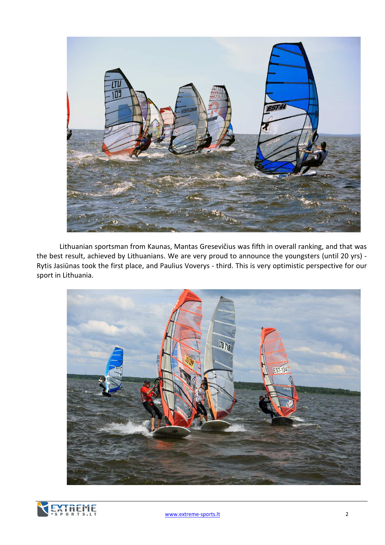

Lithuanian sportsman from Kaunas, Mantas Gresevičius was fifth in overall ranking, and that was the best result, achieved by Lithuanians. We are very proud to announce the youngsters (until 20 yrs) - Rytis Jasiūnas took the first place, and Paulius Voverys - third. This is very optimistic perspective for our sport in Lithuania.



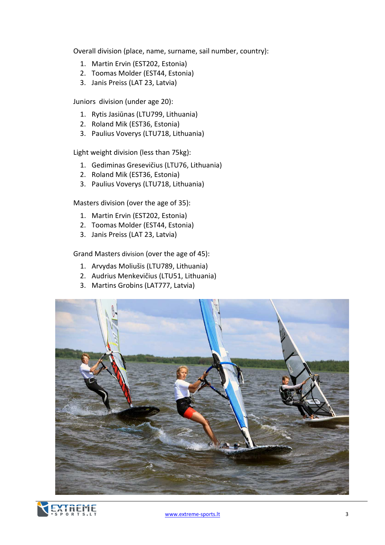Overall division (place, name, surname, sail number, country):

- 1. Martin Ervin (EST202, Estonia)
- 2. Toomas Molder (EST44, Estonia)
- 3. Janis Preiss (LAT 23, Latvia)

Juniors division (under age 20):

- 1. Rytis Jasiūnas (LTU799, Lithuania)
- 2. Roland Mik (EST36, Estonia)
- 3. Paulius Voverys (LTU718, Lithuania)

Light weight division (less than 75kg):

- 1. Gediminas Gresevičius (LTU76, Lithuania)
- 2. Roland Mik (EST36, Estonia)
- 3. Paulius Voverys (LTU718, Lithuania)

Masters division (over the age of 35):

- 1. Martin Ervin (EST202, Estonia)
- 2. Toomas Molder (EST44, Estonia)
- 3. Janis Preiss (LAT 23, Latvia)

Grand Masters division (over the age of 45):

- 1. Arvydas Moliušis (LTU789, Lithuania)
- 2. Audrius Menkevičius (LTU51, Lithuania)
- 3. Martins Grobins (LAT777, Latvia)